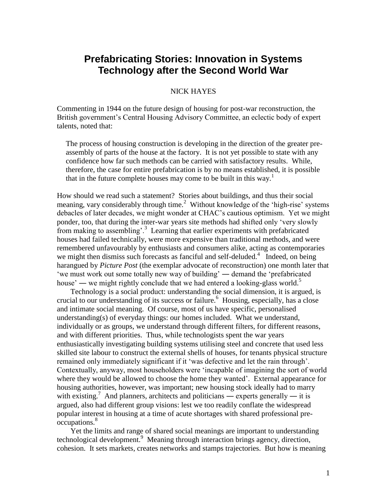# **Prefabricating Stories: Innovation in Systems Technology after the Second World War**

# NICK HAYES

Commenting in 1944 on the future design of housing for post-war reconstruction, the British government's Central Housing Advisory Committee, an eclectic body of expert talents, noted that:

The process of housing construction is developing in the direction of the greater preassembly of parts of the house at the factory. It is not yet possible to state with any confidence how far such methods can be carried with satisfactory results. While, therefore, the case for entire prefabrication is by no means established, it is possible that in the future complete houses may come to be built in this way.<sup>1</sup>

How should we read such a statement? Stories about buildings, and thus their social meaning, vary considerably through time.<sup>2</sup> Without knowledge of the 'high-rise' systems debacles of later decades, we might wonder at CHAC's cautious optimism. Yet we might ponder, too, that during the inter-war years site methods had shifted only 'very slowly from making to assembling'.<sup>3</sup> Learning that earlier experiments with prefabricated houses had failed technically, were more expensive than traditional methods, and were remembered unfavourably by enthusiasts and consumers alike, acting as contemporaries we might then dismiss such forecasts as fanciful and self-deluded.<sup>4</sup> Indeed, on being harangued by *Picture Post* (the exemplar advocate of reconstruction) one month later that ‗we must work out some totally new way of building' ― demand the ‗prefabricated house' — we might rightly conclude that we had entered a looking-glass world.<sup>5</sup>

Technology is a social product: understanding the social dimension, it is argued, is crucial to our understanding of its success or failure.<sup>6</sup> Housing, especially, has a close and intimate social meaning. Of course, most of us have specific, personalised understanding(s) of everyday things: our homes included. What we understand, individually or as groups, we understand through different filters, for different reasons, and with different priorities. Thus, while technologists spent the war years enthusiastically investigating building systems utilising steel and concrete that used less skilled site labour to construct the external shells of houses, for tenants physical structure remained only immediately significant if it 'was defective and let the rain through'. Contextually, anyway, most householders were ‗incapable of imagining the sort of world where they would be allowed to choose the home they wanted'. External appearance for housing authorities, however, was important; new housing stock ideally had to marry with existing.<sup>7</sup> And planners, architects and politicians — experts generally — it is argued, also had different group visions: lest we too readily conflate the widespread popular interest in housing at a time of acute shortages with shared professional preoccupations.<sup>8</sup>

Yet the limits and range of shared social meanings are important to understanding technological development.<sup>9</sup> Meaning through interaction brings agency, direction, cohesion. It sets markets, creates networks and stamps trajectories. But how is meaning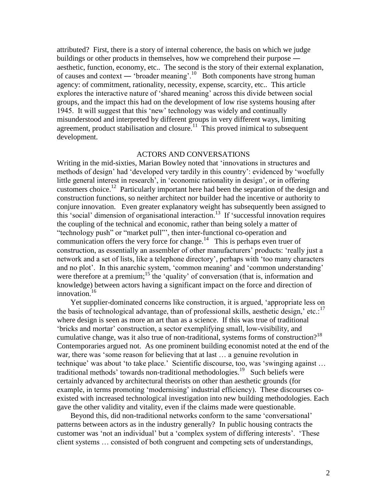attributed? First, there is a story of internal coherence, the basis on which we judge buildings or other products in themselves, how we comprehend their purpose ― aesthetic, function, economy, etc.. The second is the story of their external explanation, of causes and context — 'broader meaning'.<sup>10</sup> Both components have strong human agency: of commitment, rationality, necessity, expense, scarcity, etc.. This article explores the interactive nature of 'shared meaning' across this divide between social groups, and the impact this had on the development of low rise systems housing after 1945. It will suggest that this 'new' technology was widely and continually misunderstood and interpreted by different groups in very different ways, limiting agreement, product stabilisation and closure. $11$  This proved inimical to subsequent development.

## ACTORS AND CONVERSATIONS

Writing in the mid-sixties, Marian Bowley noted that 'innovations in structures and methods of design' had 'developed very tardily in this country': evidenced by 'woefully little general interest in research', in 'economic rationality in design', or in offering customers choice.<sup>12</sup> Particularly important here had been the separation of the design and construction functions, so neither architect nor builder had the incentive or authority to conjure innovation. Even greater explanatory weight has subsequently been assigned to this 'social' dimension of organisational interaction.<sup>13</sup> If 'successful innovation requires the coupling of the technical and economic, rather than being solely a matter of "technology push" or "market pull"', then inter-functional co-operation and communication offers the very force for change.<sup>14</sup> This is perhaps even truer of construction, as essentially an assembler of other manufacturers' products: 'really just a network and a set of lists, like a telephone directory', perhaps with 'too many characters' and no plot'. In this anarchic system, 'common meaning' and 'common understanding' were therefore at a premium;<sup>15</sup> the 'quality' of conversation (that is, information and knowledge) between actors having a significant impact on the force and direction of innovation.<sup>16</sup>

Yet supplier-dominated concerns like construction, it is argued, 'appropriate less on the basis of technological advantage, than of professional skills, aesthetic design,' etc.:<sup>17</sup> where design is seen as more an art than as a science. If this was true of traditional ‗bricks and mortar' construction, a sector exemplifying small, low-visibility, and cumulative change, was it also true of non-traditional, systems forms of construction?<sup>18</sup> Contemporaries argued not. As one prominent building economist noted at the end of the war, there was 'some reason for believing that at last ... a genuine revolution in technique' was about 'to take place.' Scientific discourse, too, was 'swinging against ... traditional methods' towards non-traditional methodologies.<sup>19</sup> Such beliefs were certainly advanced by architectural theorists on other than aesthetic grounds (for example, in terms promoting 'modernising' industrial efficiency). These discourses coexisted with increased technological investigation into new building methodologies. Each gave the other validity and vitality, even if the claims made were questionable.

Beyond this, did non-traditional networks conform to the same 'conversational' patterns between actors as in the industry generally? In public housing contracts the customer was 'not an individual' but a 'complex system of differing interests'. 'These client systems … consisted of both congruent and competing sets of understandings,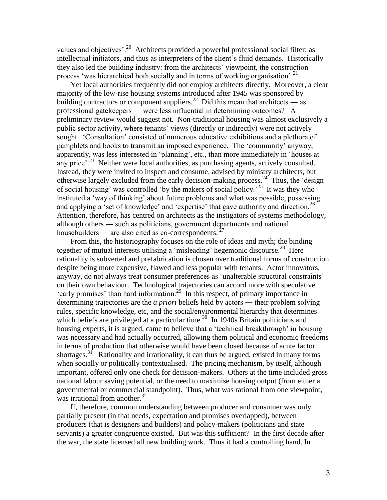values and objectives'.<sup>20</sup> Architects provided a powerful professional social filter: as intellectual initiators, and thus as interpreters of the client's fluid demands. Historically they also led the building industry: from the architects' viewpoint, the construction process 'was hierarchical both socially and in terms of working organisation'.<sup>21</sup>

Yet local authorities frequently did not employ architects directly. Moreover, a clear majority of the low-rise housing systems introduced after 1945 was sponsored by building contractors or component suppliers.<sup>22</sup> Did this mean that architects — as professional gatekeepers ― were less influential in determining outcomes? A preliminary review would suggest not. Non-traditional housing was almost exclusively a public sector activity, where tenants' views (directly or indirectly) were not actively sought. ‗Consultation' consisted of numerous educative exhibitions and a plethora of pamphlets and books to transmit an imposed experience. The 'community' anyway, apparently, was less interested in 'planning', etc., than more immediately in 'houses at any price<sup>5</sup>.<sup>23</sup> Neither were local authorities, as purchasing agents, actively consulted. Instead, they were invited to inspect and consume, advised by ministry architects, but otherwise largely excluded from the early decision-making process.<sup>24</sup> Thus, the 'design of social housing' was controlled 'by the makers of social policy.<sup>25</sup> It was they who instituted a 'way of thinking' about future problems and what was possible, possessing and applying a 'set of knowledge' and 'expertise' that gave authority and direction.<sup>26</sup> Attention, therefore, has centred on architects as the instigators of systems methodology, although others ― such as politicians, government departments and national housebuilders — are also cited as co-correspondents.  $27$ 

From this, the historiography focuses on the role of ideas and myth; the binding together of mutual interests utilising a 'misleading' hegemonic discourse.<sup>28</sup> Here rationality is subverted and prefabrication is chosen over traditional forms of construction despite being more expensive, flawed and less popular with tenants. Actor innovators, anyway, do not always treat consumer preferences as 'unalterable structural constraints' on their own behaviour. Technological trajectories can accord more with speculative 'early promises' than hard information.<sup>29</sup> In this respect, of primary importance in determining trajectories are the *a priori* beliefs held by actors ― their problem solving rules, specific knowledge, etc, and the social/environmental hierarchy that determines which beliefs are privileged at a particular time.<sup>30</sup> In 1940s Britain politicians and housing experts, it is argued, came to believe that a 'technical breakthrough' in housing was necessary and had actually occurred, allowing them political and economic freedoms in terms of production that otherwise would have been closed because of acute factor shortages.<sup>31</sup> Rationality and irrationality, it can thus be argued, existed in many forms when socially or politically contextualised. The pricing mechanism, by itself, although important, offered only one check for decision-makers. Others at the time included gross national labour saving potential, or the need to maximise housing output (from either a governmental or commercial standpoint). Thus, what was rational from one viewpoint, was irrational from another. $32$ 

If, therefore, common understanding between producer and consumer was only partially present (in that needs, expectation and promises overlapped), between producers (that is designers and builders) and policy-makers (politicians and state servants) a greater congruence existed. But was this sufficient? In the first decade after the war, the state licensed all new building work. Thus it had a controlling hand. In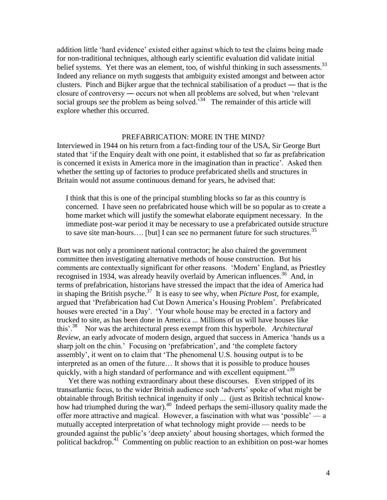addition little ‗hard evidence' existed either against which to test the claims being made for non-traditional techniques, although early scientific evaluation did validate initial belief systems. Yet there was an element, too, of wishful thinking in such assessments.<sup>33</sup> Indeed any reliance on myth suggests that ambiguity existed amongst and between actor clusters. Pinch and Bijker argue that the technical stabilisation of a product ― that is the closure of controversy — occurs not when all problems are solved, but when 'relevant social groups *see* the problem as being solved.<sup>34</sup> The remainder of this article will explore whether this occurred.

# PREFABRICATION: MORE IN THE MIND?

Interviewed in 1944 on his return from a fact-finding tour of the USA, Sir George Burt stated that 'if the Enquiry dealt with one point, it established that so far as prefabrication is concerned it exists in America more in the imagination than in practice'. Asked then whether the setting up of factories to produce prefabricated shells and structures in Britain would not assume continuous demand for years, he advised that:

I think that this is one of the principal stumbling blocks so far as this country is concerned. I have seen no prefabricated house which will be so popular as to create a home market which will justify the somewhat elaborate equipment necessary. In the immediate post-war period it may be necessary to use a prefabricated outside structure to save site man-hours.... [but] I can see no permanent future for such structures.<sup>35</sup>

Burt was not only a prominent national contractor; he also chaired the government committee then investigating alternative methods of house construction. But his comments are contextually significant for other reasons. 'Modern' England, as Priestley recognised in 1934, was already heavily overlaid by American influences.<sup>36</sup> And, in terms of prefabrication, historians have stressed the impact that the idea of America had in shaping the British psyche.<sup>37</sup> It is easy to see why, when *Picture Post*, for example, argued that ‗Prefabrication had Cut Down America's Housing Problem'. Prefabricated houses were erected 'in a Day'. 'Your whole house may be erected in a factory and trucked to site, as has been done in America ... Millions of us will have houses like this'.<sup>38</sup> Nor was the architectural press exempt from this hyperbole. *Architectural Review*, an early advocate of modern design, argued that success in America 'hands us a sharp jolt on the chin.' Focusing on 'prefabrication', and 'the complete factory assembly', it went on to claim that ‗The phenomenal U.S. housing output is to be interpreted as an omen of the future… It shows that it is possible to produce houses quickly, with a high standard of performance and with excellent equipment.<sup>39</sup>

Yet there was nothing extraordinary about these discourses. Even stripped of its transatlantic focus, to the wider British audience such 'adverts' spoke of what might be obtainable through British technical ingenuity if only ... (just as British technical knowhow had triumphed during the war).<sup>40</sup> Indeed perhaps the semi-illusory quality made the offer more attractive and magical. However, a fascination with what was 'possible' — a mutually accepted interpretation of what technology might provide — needs to be grounded against the public's 'deep anxiety' about housing shortages, which formed the political backdrop.<sup>41</sup> Commenting on public reaction to an exhibition on post-war homes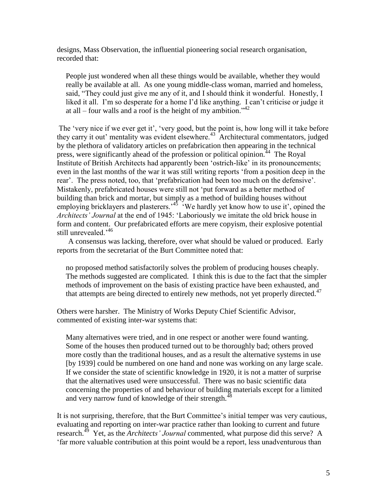designs, Mass Observation, the influential pioneering social research organisation, recorded that:

People just wondered when all these things would be available, whether they would really be available at all. As one young middle-class woman, married and homeless, said, "They could just give me any of it, and I should think it wonderful. Honestly, I liked it all. I'm so desperate for a home I'd like anything. I can't criticise or judge it at all – four walls and a roof is the height of my ambition.<sup> $342$ </sup>

The 'very nice if we ever get it', 'very good, but the point is, how long will it take before they carry it out' mentality was evident elsewhere.<sup>43</sup> Architectural commentators, judged by the plethora of validatory articles on prefabrication then appearing in the technical press, were significantly ahead of the profession or political opinion.<sup>44</sup> The Royal Institute of British Architects had apparently been 'ostrich-like' in its pronouncements; even in the last months of the war it was still writing reports 'from a position deep in the rear'. The press noted, too, that 'prefabrication had been too much on the defensive'. Mistakenly, prefabricated houses were still not 'put forward as a better method of building than brick and mortar, but simply as a method of building houses without employing bricklayers and plasterers.<sup>45</sup> We hardly yet know how to use it', opined the *Architects' Journal* at the end of 1945: ‗Laboriously we imitate the old brick house in form and content. Our prefabricated efforts are mere copyism, their explosive potential still unrevealed.<sup>'46</sup>

A consensus was lacking, therefore, over what should be valued or produced. Early reports from the secretariat of the Burt Committee noted that:

no proposed method satisfactorily solves the problem of producing houses cheaply. The methods suggested are complicated. I think this is due to the fact that the simpler methods of improvement on the basis of existing practice have been exhausted, and that attempts are being directed to entirely new methods, not yet properly directed.<sup>47</sup>

Others were harsher. The Ministry of Works Deputy Chief Scientific Advisor, commented of existing inter-war systems that:

Many alternatives were tried, and in one respect or another were found wanting. Some of the houses then produced turned out to be thoroughly bad; others proved more costly than the traditional houses, and as a result the alternative systems in use [by 1939] could be numbered on one hand and none was working on any large scale. If we consider the state of scientific knowledge in 1920, it is not a matter of surprise that the alternatives used were unsuccessful. There was no basic scientific data concerning the properties of and behaviour of building materials except for a limited and very narrow fund of knowledge of their strength.<sup>48</sup>

It is not surprising, therefore, that the Burt Committee's initial temper was very cautious, evaluating and reporting on inter-war practice rather than looking to current and future research.<sup>49</sup> Yet, as the *Architects' Journal* commented, what purpose did this serve? A ‗far more valuable contribution at this point would be a report, less unadventurous than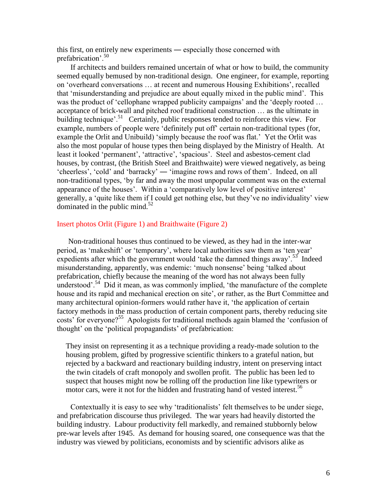this first, on entirely new experiments ― especially those concerned with prefabrication'.<sup>50</sup>

If architects and builders remained uncertain of what or how to build, the community seemed equally bemused by non-traditional design. One engineer, for example, reporting on ‗overheard conversations … at recent and numerous Housing Exhibitions', recalled that ‗misunderstanding and prejudice are about equally mixed in the public mind'. This was the product of 'cellophane wrapped publicity campaigns' and the 'deeply rooted ... acceptance of brick-wall and pitched roof traditional construction … as the ultimate in building technique'.<sup>51</sup> Certainly, public responses tended to reinforce this view. For example, numbers of people were 'definitely put off' certain non-traditional types (for, example the Orlit and Unibuild) 'simply because the roof was flat.' Yet the Orlit was also the most popular of house types then being displayed by the Ministry of Health. At least it looked 'permanent', 'attractive', 'spacious'. Steel and asbestos-cement clad houses, by contrast, (the British Steel and Braithwaite) were viewed negatively, as being ‗cheerless', ‗cold' and ‗barracky' ― ‗imagine rows and rows of them'. Indeed, on all non-traditional types, ‗by far and away the most unpopular comment was on the external appearance of the houses'. Within a 'comparatively low level of positive interest' generally, a ‗quite like them if I could get nothing else, but they've no individuality' view dominated in the public mind.<sup>52</sup>

## Insert photos Orlit (Figure 1) and Braithwaite (Figure 2)

Non-traditional houses thus continued to be viewed, as they had in the inter-war period, as 'makeshift' or 'temporary', where local authorities saw them as 'ten year' expedients after which the government would 'take the damned things away'.<sup>53</sup> Indeed misunderstanding, apparently, was endemic: 'much nonsense' being 'talked about prefabrication, chiefly because the meaning of the word has not always been fully understood'.<sup>54</sup> Did it mean, as was commonly implied, 'the manufacture of the complete house and its rapid and mechanical erection on site', or rather, as the Burt Committee and many architectural opinion-formers would rather have it, 'the application of certain factory methods in the mass production of certain component parts, thereby reducing site costs' for everyone?<sup>55</sup> Apologists for traditional methods again blamed the 'confusion of thought' on the 'political propagandists' of prefabrication:

They insist on representing it as a technique providing a ready-made solution to the housing problem, gifted by progressive scientific thinkers to a grateful nation, but rejected by a backward and reactionary building industry, intent on preserving intact the twin citadels of craft monopoly and swollen profit. The public has been led to suspect that houses might now be rolling off the production line like typewriters or motor cars, were it not for the hidden and frustrating hand of vested interest.<sup>56</sup>

Contextually it is easy to see why 'traditionalists' felt themselves to be under siege, and prefabrication discourse thus privileged. The war years had heavily distorted the building industry. Labour productivity fell markedly, and remained stubbornly below pre-war levels after 1945. As demand for housing soared, one consequence was that the industry was viewed by politicians, economists and by scientific advisors alike as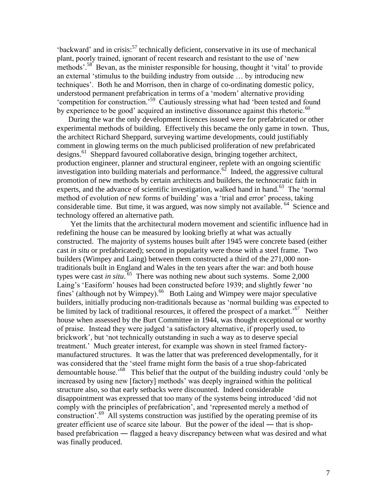$b$ ackward' and in crisis:<sup>57</sup> technically deficient, conservative in its use of mechanical plant, poorly trained, ignorant of recent research and resistant to the use of 'new methods'.<sup>58</sup> Bevan, as the minister responsible for housing, thought it 'vital' to provide an external 'stimulus to the building industry from outside ... by introducing new techniques'. Both he and Morrison, then in charge of co-ordinating domestic policy, understood permanent prefabrication in terms of a 'modern' alternative providing 'competition for construction.'<sup>59</sup> Cautiously stressing what had 'been tested and found by experience to be good' acquired an instinctive dissonance against this rhetoric.<sup>60</sup>

During the war the only development licences issued were for prefabricated or other experimental methods of building. Effectively this became the only game in town. Thus, the architect Richard Sheppard, surveying wartime developments, could justifiably comment in glowing terms on the much publicised proliferation of new prefabricated designs.<sup>61</sup> Sheppard favoured collaborative design, bringing together architect, production engineer, planner and structural engineer, replete with an ongoing scientific investigation into building materials and performance.<sup>62</sup> Indeed, the aggressive cultural promotion of new methods by certain architects and builders, the technocratic faith in experts, and the advance of scientific investigation, walked hand in hand.<sup>63</sup> The 'normal method of evolution of new forms of building' was a 'trial and error' process, taking considerable time. But time, it was argued, was now simply not available. <sup>64</sup> Science and technology offered an alternative path.

Yet the limits that the architectural modern movement and scientific influence had in redefining the house can be measured by looking briefly at what was actually constructed. The majority of systems houses built after 1945 were concrete based (either cast *in situ* or prefabricated); second in popularity were those with a steel frame. Two builders (Wimpey and Laing) between them constructed a third of the 271,000 nontraditionals built in England and Wales in the ten years after the war: and both house types were cast *in situ*.<sup>65</sup> There was nothing new about such systems. Some 2,000 Laing's 'Easiform' houses had been constructed before 1939; and slightly fewer 'no fines' (although not by Wimpey).<sup>66</sup> Both Laing and Wimpey were major speculative builders, initially producing non-traditionals because as 'normal building was expected to be limited by lack of traditional resources, it offered the prospect of a market.<sup>57</sup> Neither house when assessed by the Burt Committee in 1944, was thought exceptional or worthy of praise. Instead they were judged ‗a satisfactory alternative, if properly used, to brickwork', but 'not technically outstanding in such a way as to deserve special treatment.' Much greater interest, for example was shown in steel framed factorymanufactured structures. It was the latter that was preferenced developmentally, for it was considered that the 'steel frame might form the basis of a true shop-fabricated demountable house.<sup>68</sup> This belief that the output of the building industry could 'only be increased by using new [factory] methods' was deeply ingrained within the political structure also, so that early setbacks were discounted. Indeed considerable disappointment was expressed that too many of the systems being introduced ‗did not comply with the principles of prefabrication', and 'represented merely a method of construction'.<sup>69</sup> All systems construction was justified by the operating premise of its greater efficient use of scarce site labour. But the power of the ideal ― that is shopbased prefabrication ― flagged a heavy discrepancy between what was desired and what was finally produced.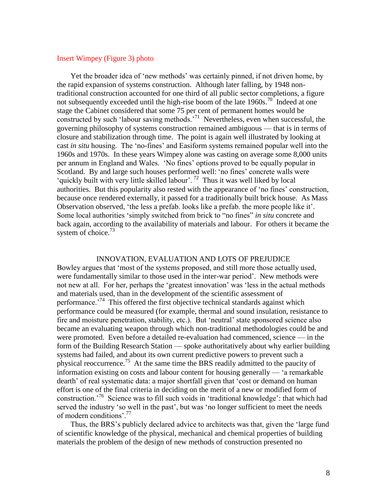## Insert Wimpey (Figure 3) photo

Yet the broader idea of 'new methods' was certainly pinned, if not driven home, by the rapid expansion of systems construction. Although later falling, by 1948 nontraditional construction accounted for one third of all public sector completions, a figure not subsequently exceeded until the high-rise boom of the late  $1960s$ .<sup>70</sup> Indeed at one stage the Cabinet considered that some 75 per cent of permanent homes would be constructed by such 'labour saving methods.'<sup>71</sup> Nevertheless, even when successful, the governing philosophy of systems construction remained ambiguous — that is in terms of closure and stabilization through time. The point is again well illustrated by looking at cast *in situ* housing. The 'no-fines' and Easiform systems remained popular well into the 1960s and 1970s. In these years Wimpey alone was casting on average some 8,000 units per annum in England and Wales. 'No fines' options proved to be equally popular in Scotland. By and large such houses performed well: 'no fines' concrete walls were 'quickly built with very little skilled labour'.<sup>72</sup> Thus it was well liked by local authorities. But this popularity also rested with the appearance of 'no fines' construction, because once rendered externally, it passed for a traditionally built brick house. As Mass Observation observed, 'the less a prefab. looks like a prefab. the more people like it'. Some local authorities 'simply switched from brick to "no fines" *in situ* concrete and back again, according to the availability of materials and labour. For others it became the system of choice. $73$ 

### INNOVATION, EVALUATION AND LOTS OF PREJUDICE

Bowley argues that ‗most of the systems proposed, and still more those actually used, were fundamentally similar to those used in the inter-war period'. New methods were not new at all. For her, perhaps the 'greatest innovation' was 'less in the actual methods and materials used, than in the development of the scientific assessment of performance.<sup>74</sup> This offered the first objective technical standards against which performance could be measured (for example, thermal and sound insulation, resistance to fire and moisture penetration, stability, etc.). But 'neutral' state sponsored science also became an evaluating weapon through which non-traditional methodologies could be and were promoted. Even before a detailed re-evaluation had commenced, science — in the form of the Building Research Station — spoke authoritatively about why earlier building systems had failed, and about its own current predictive powers to prevent such a physical reoccurrence.<sup>75</sup> At the same time the BRS readily admitted to the paucity of information existing on costs and labour content for housing generally  $-$  'a remarkable dearth' of real systematic data: a major shortfall given that ‗cost or demand on human effort is one of the final criteria in deciding on the merit of a new or modified form of construction.<sup>76</sup> Science was to fill such voids in 'traditional knowledge': that which had served the industry 'so well in the past', but was 'no longer sufficient to meet the needs of modern conditions'.<sup>77</sup>

Thus, the BRS's publicly declared advice to architects was that, given the 'large fund of scientific knowledge of the physical, mechanical and chemical properties of building materials the problem of the design of new methods of construction presented no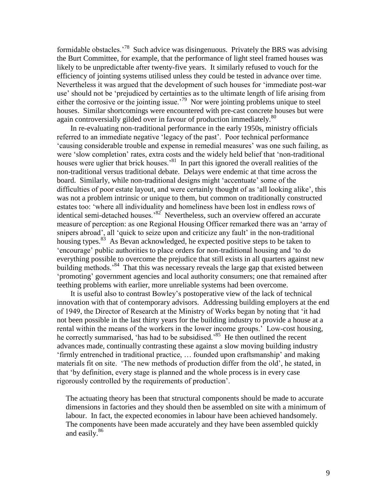formidable obstacles.<sup>78</sup> Such advice was disingenuous. Privately the BRS was advising the Burt Committee, for example, that the performance of light steel framed houses was likely to be unpredictable after twenty-five years. It similarly refused to vouch for the efficiency of jointing systems utilised unless they could be tested in advance over time. Nevertheless it was argued that the development of such houses for ‗immediate post-war use' should not be 'prejudiced by certainties as to the ultimate length of life arising from either the corrosive or the jointing issue.<sup>79</sup> Nor were jointing problems unique to steel houses. Similar shortcomings were encountered with pre-cast concrete houses but were again controversially gilded over in favour of production immediately.<sup>80</sup>

In re-evaluating non-traditional performance in the early 1950s, ministry officials referred to an immediate negative 'legacy of the past'. Poor technical performance ‗causing considerable trouble and expense in remedial measures' was one such failing, as were 'slow completion' rates, extra costs and the widely held belief that 'non-traditional houses were uglier that brick houses.<sup>81</sup> In part this ignored the overall realities of the non-traditional versus traditional debate. Delays were endemic at that time across the board. Similarly, while non-traditional designs might ‗accentuate' some of the difficulties of poor estate layout, and were certainly thought of as 'all looking alike', this was not a problem intrinsic or unique to them, but common on traditionally constructed estates too: ‗where all individuality and homeliness have been lost in endless rows of identical semi-detached houses.<sup>82</sup> Nevertheless, such an overview offered an accurate measure of perception: as one Regional Housing Officer remarked there was an 'array of snipers abroad', all 'quick to seize upon and criticize any fault' in the non-traditional housing types.<sup>83</sup> As Bevan acknowledged, he expected positive steps to be taken to ‗encourage' public authorities to place orders for non-traditional housing and ‗to do everything possible to overcome the prejudice that still exists in all quarters against new building methods.<sup>84</sup> That this was necessary reveals the large gap that existed between ‗promoting' government agencies and local authority consumers; one that remained after teething problems with earlier, more unreliable systems had been overcome.

It is useful also to contrast Bowley's postoperative view of the lack of technical innovation with that of contemporary advisors. Addressing building employers at the end of 1949, the Director of Research at the Ministry of Works began by noting that ‗it had not been possible in the last thirty years for the building industry to provide a house at a rental within the means of the workers in the lower income groups.' Low-cost housing, he correctly summarised, 'has had to be subsidised.'<sup>85</sup> He then outlined the recent advances made, continually contrasting these against a slow moving building industry ‗firmly entrenched in traditional practice, … founded upon craftsmanship' and making materials fit on site. 'The new methods of production differ from the old', he stated, in that ‗by definition, every stage is planned and the whole process is in every case rigorously controlled by the requirements of production'.

The actuating theory has been that structural components should be made to accurate dimensions in factories and they should then be assembled on site with a minimum of labour. In fact, the expected economies in labour have been achieved handsomely. The components have been made accurately and they have been assembled quickly and easily.<sup>86</sup>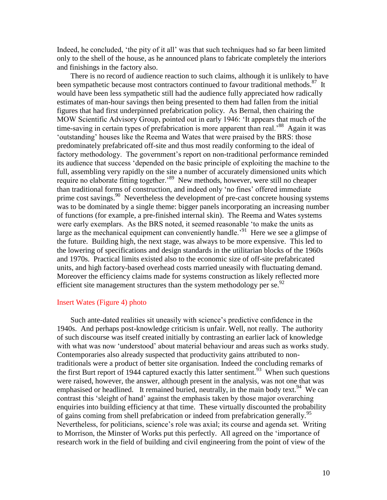Indeed, he concluded, 'the pity of it all' was that such techniques had so far been limited only to the shell of the house, as he announced plans to fabricate completely the interiors and finishings in the factory also.

There is no record of audience reaction to such claims, although it is unlikely to have been sympathetic because most contractors continued to favour traditional methods.<sup>87</sup> It would have been less sympathetic still had the audience fully appreciated how radically estimates of man-hour savings then being presented to them had fallen from the initial figures that had first underpinned prefabrication policy. As Bernal, then chairing the MOW Scientific Advisory Group, pointed out in early 1946: 'It appears that much of the time-saving in certain types of prefabrication is more apparent than real.<sup>88</sup> Again it was ‗outstanding' houses like the Reema and Wates that were praised by the BRS: those predominately prefabricated off-site and thus most readily conforming to the ideal of factory methodology. The government's report on non-traditional performance reminded its audience that success ‗depended on the basic principle of exploiting the machine to the full, assembling very rapidly on the site a number of accurately dimensioned units which require no elaborate fitting together.<sup>89</sup> New methods, however, were still no cheaper than traditional forms of construction, and indeed only 'no fines' offered immediate prime cost savings.<sup>90</sup> Nevertheless the development of pre-cast concrete housing systems was to be dominated by a single theme: bigger panels incorporating an increasing number of functions (for example, a pre-finished internal skin). The Reema and Wates systems were early exemplars. As the BRS noted, it seemed reasonable 'to make the units as large as the mechanical equipment can conveniently handle.<sup>91</sup> Here we see a glimpse of the future. Building high, the next stage, was always to be more expensive. This led to the lowering of specifications and design standards in the utilitarian blocks of the 1960s and 1970s. Practical limits existed also to the economic size of off-site prefabricated units, and high factory-based overhead costs married uneasily with fluctuating demand. Moreover the efficiency claims made for systems construction as likely reflected more efficient site management structures than the system methodology per se. $^{92}$ 

#### Insert Wates (Figure 4) photo

Such ante-dated realities sit uneasily with science's predictive confidence in the 1940s. And perhaps post-knowledge criticism is unfair. Well, not really. The authority of such discourse was itself created initially by contrasting an earlier lack of knowledge with what was now 'understood' about material behaviour and areas such as works study. Contemporaries also already suspected that productivity gains attributed to nontraditionals were a product of better site organisation. Indeed the concluding remarks of the first Burt report of 1944 captured exactly this latter sentiment.<sup>93</sup> When such questions were raised, however, the answer, although present in the analysis, was not one that was emphasised or headlined. It remained buried, neutrally, in the main body text.<sup>94</sup> We can contrast this 'sleight of hand' against the emphasis taken by those major overarching enquiries into building efficiency at that time. These virtually discounted the probability of gains coming from shell prefabrication or indeed from prefabrication generally.<sup>95</sup> Nevertheless, for politicians, science's role was axial; its course and agenda set. Writing to Morrison, the Minster of Works put this perfectly. All agreed on the 'importance of research work in the field of building and civil engineering from the point of view of the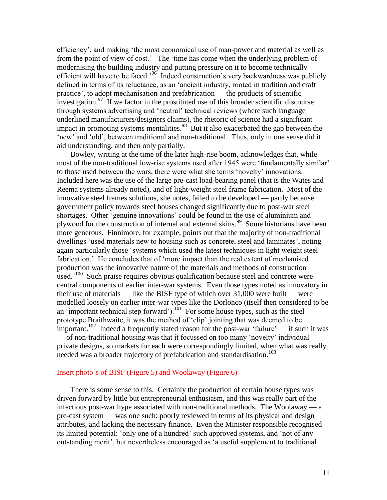efficiency', and making 'the most economical use of man-power and material as well as from the point of view of cost.' The 'time has come when the underlying problem of modernising the building industry and putting pressure on it to become technically efficient will have to be faced.<sup>'96</sup> Indeed construction's very backwardness was publicly defined in terms of its reluctance, as an 'ancient industry, rooted in tradition and craft practice', to adopt mechanisation and prefabrication — the products of scientific investigation.<sup>97</sup> If we factor in the prostituted use of this broader scientific discourse through systems advertising and 'neutral' technical reviews (where such language underlined manufacturers/designers claims), the rhetoric of science had a significant impact in promoting systems mentalities.<sup>98</sup> But it also exacerbated the gap between the 'new' and 'old', between traditional and non-traditional. Thus, only in one sense did it aid understanding, and then only partially.

Bowley, writing at the time of the later high-rise boom, acknowledges that, while most of the non-traditional low-rise systems used after 1945 were 'fundamentally similar' to those used between the wars, there were what she terms 'novelty' innovations. Included here was the use of the large pre-cast load-bearing panel (that is the Wates and Reema systems already noted), and of light-weight steel frame fabrication. Most of the innovative steel frames solutions, she notes, failed to be developed — partly because government policy towards steel houses changed significantly due to post-war steel shortages. Other 'genuine innovations' could be found in the use of aluminium and plywood for the construction of internal and external skins.<sup>99</sup> Some historians have been more generous. Finnimore, for example, points out that the majority of non-traditional dwellings 'used materials new to housing such as concrete, steel and laminates', noting again particularly those 'systems which used the latest techniques in light weight steel fabrication.' He concludes that of 'more impact than the real extent of mechanised production was the innovative nature of the materials and methods of construction used.<sup>100</sup> Such praise requires obvious qualification because steel and concrete were central components of earlier inter-war systems. Even those types noted as innovatory in their use of materials — like the BISF type of which over 31,000 were built — were modelled loosely on earlier inter-war types like the Dorlonco (itself then considered to be an 'important technical step forward').  $^{101}$  For some house types, such as the steel prototype Braithwaite, it was the method of 'clip' jointing that was deemed to be important.<sup>102</sup> Indeed a frequently stated reason for the post-war 'failure' — if such it was — of non-traditional housing was that it focussed on too many 'novelty' individual private designs, so markets for each were correspondingly limited, when what was really needed was a broader trajectory of prefabrication and standardisation.<sup>103</sup>

## Insert photo's of BISF (Figure 5) and Woolaway (Figure 6)

There is some sense to this. Certainly the production of certain house types was driven forward by little but entrepreneurial enthusiasm, and this was really part of the infectious post-war hype associated with non-traditional methods. The Woolaway — a pre-cast system — was one such: poorly reviewed in terms of its physical and design attributes, and lacking the necessary finance. Even the Minister responsible recognised its limited potential: 'only one of a hundred' such approved systems, and 'not of any outstanding merit', but nevertheless encouraged as ‗a useful supplement to traditional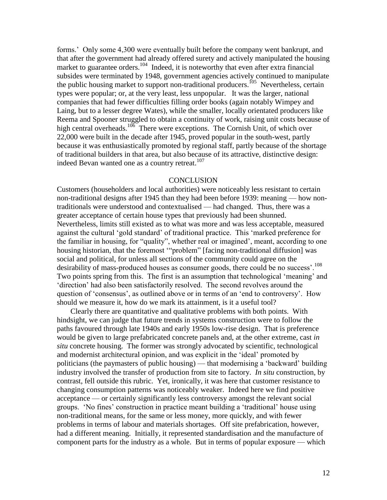forms.' Only some 4,300 were eventually built before the company went bankrupt, and that after the government had already offered surety and actively manipulated the housing market to guarantee orders.<sup>104</sup> Indeed, it is noteworthy that even after extra financial subsides were terminated by 1948, government agencies actively continued to manipulate the public housing market to support non-traditional producers.<sup>105</sup> Nevertheless, certain types were popular; or, at the very least, less unpopular. It was the larger, national companies that had fewer difficulties filling order books (again notably Wimpey and Laing, but to a lesser degree Wates), while the smaller, locally orientated producers like Reema and Spooner struggled to obtain a continuity of work, raising unit costs because of high central overheads.<sup>106</sup> There were exceptions. The Cornish Unit, of which over 22,000 were built in the decade after 1945, proved popular in the south-west, partly because it was enthusiastically promoted by regional staff, partly because of the shortage of traditional builders in that area, but also because of its attractive, distinctive design: indeed Bevan wanted one as a country retreat.<sup>107</sup>

#### **CONCLUSION**

Customers (householders and local authorities) were noticeably less resistant to certain non-traditional designs after 1945 than they had been before 1939: meaning — how nontraditionals were understood and contextualised — had changed. Thus, there was a greater acceptance of certain house types that previously had been shunned. Nevertheless, limits still existed as to what was more and was less acceptable, measured against the cultural 'gold standard' of traditional practice. This 'marked preference for the familiar in housing, for "quality", whether real or imagined', meant, according to one housing historian, that the foremost "problem" [facing non-traditional diffusion] was social and political, for unless all sections of the community could agree on the desirability of mass-produced houses as consumer goods, there could be no success'.<sup>108</sup> Two points spring from this. The first is an assumption that technological 'meaning' and ‗direction' had also been satisfactorily resolved. The second revolves around the question of 'consensus', as outlined above or in terms of an 'end to controversy'. How should we measure it, how do we mark its attainment, is it a useful tool?

Clearly there are quantitative and qualitative problems with both points. With hindsight, we can judge that future trends in systems construction were to follow the paths favoured through late 1940s and early 1950s low-rise design. That is preference would be given to large prefabricated concrete panels and, at the other extreme, cast *in situ* concrete housing. The former was strongly advocated by scientific, technological and modernist architectural opinion, and was explicit in the 'ideal' promoted by politicians (the paymasters of public housing) — that modernising a 'backward' building industry involved the transfer of production from site to factory. *In situ* construction, by contrast, fell outside this rubric. Yet, ironically, it was here that customer resistance to changing consumption patterns was noticeably weaker. Indeed here we find positive acceptance — or certainly significantly less controversy amongst the relevant social groups. ‗No fines' construction in practice meant building a ‗traditional' house using non-traditional means, for the same or less money, more quickly, and with fewer problems in terms of labour and materials shortages. Off site prefabrication, however, had a different meaning. Initially, it represented standardisation and the manufacture of component parts for the industry as a whole. But in terms of popular exposure — which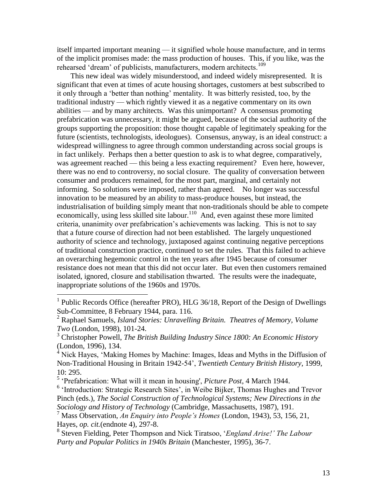itself imparted important meaning — it signified whole house manufacture, and in terms of the implicit promises made: the mass production of houses. This, if you like, was the rehearsed 'dream' of publicists, manufacturers, modern architects.<sup>109</sup>

This new ideal was widely misunderstood, and indeed widely misrepresented. It is significant that even at times of acute housing shortages, customers at best subscribed to it only through a 'better than nothing' mentality. It was bitterly resisted, too, by the traditional industry — which rightly viewed it as a negative commentary on its own abilities — and by many architects. Was this unimportant? A consensus promoting prefabrication was unnecessary, it might be argued, because of the social authority of the groups supporting the proposition: those thought capable of legitimately speaking for the future (scientists, technologists, ideologues). Consensus, anyway, is an ideal construct: a widespread willingness to agree through common understanding across social groups is in fact unlikely. Perhaps then a better question to ask is to what degree, comparatively, was agreement reached — this being a less exacting requirement? Even here, however, there was no end to controversy, no social closure. The quality of conversation between consumer and producers remained, for the most part, marginal, and certainly not informing. So solutions were imposed, rather than agreed. No longer was successful innovation to be measured by an ability to mass-produce houses, but instead, the industrialisation of building simply meant that non-traditionals should be able to compete economically, using less skilled site labour.<sup>110</sup> And, even against these more limited criteria, unanimity over prefabrication's achievements was lacking. This is not to say that a future course of direction had not been established. The largely unquestioned authority of science and technology, juxtaposed against continuing negative perceptions of traditional construction practice, continued to set the rules. That this failed to achieve an overarching hegemonic control in the ten years after 1945 because of consumer resistance does not mean that this did not occur later. But even then customers remained isolated, ignored, closure and stabilisation thwarted. The results were the inadequate, inappropriate solutions of the 1960s and 1970s.

 1 Public Records Office (hereafter PRO), HLG 36/18, Report of the Design of Dwellings Sub-Committee, 8 February 1944, para. 116.

<sup>2</sup> Raphael Samuels, *Island Stories: Unravelling Britain. Theatres of Memory, Volume Two* (London, 1998), 101-24.

<sup>3</sup> Christopher Powell, *The British Building Industry Since 1800: An Economic History* (London, 1996), 134.

 $4$  Nick Hayes, 'Making Homes by Machine: Images, Ideas and Myths in the Diffusion of Non-Traditional Housing in Britain 1942-54', *Twentieth Century British History*, 1999, 10: 295.

<sup>5</sup> ‗Prefabrication: What will it mean in housing', *Picture Post*, 4 March 1944.

<sup>&</sup>lt;sup>6</sup> 'Introduction: Strategic Research Sites', in Weibe Bijker, Thomas Hughes and Trevor Pinch (eds.), *The Social Construction of Technological Systems; New Directions in the Sociology and History of Technology* (Cambridge, Massachusetts, 1987), 191.

<sup>7</sup> Mass Observation, *An Enquiry into People's Homes* (London, 1943), 53, 156, 21, Hayes, *op. cit.*(endnote 4)*,* 297-8.

<sup>8</sup> Steven Fielding, Peter Thompson and Nick Tiratsoo, ‗*England Arise!' The Labour Party and Popular Politics in 1940s Britain* (Manchester, 1995), 36-7.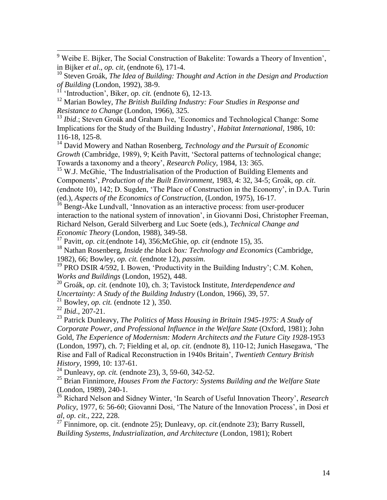$9$  Weibe E. Bijker, The Social Construction of Bakelite: Towards a Theory of Invention', in Bijker *et al*., *op. cit,* (endnote 6), 171-4.

<sup>10</sup> Steven Groák, *The Idea of Building: Thought and Action in the Design and Production of Building* (London, 1992), 38-9.

<sup>11</sup> 'Introduction', Biker, *op. cit.* (endnote 6), 12-13.

<sup>12</sup> Marian Bowley, *The British Building Industry: Four Studies in Response and Resistance to Change* (London, 1966), 325.

<sup>13</sup> *Ibid*.; Steven Groák and Graham Ive, 'Economics and Technological Change: Some Implications for the Study of the Building Industry', *Habitat International,* 1986, 10: 116-18, 125-8.

<sup>14</sup> David Mowery and Nathan Rosenberg, *Technology and the Pursuit of Economic Growth* (Cambridge, 1989), 9; Keith Pavitt, 'Sectoral patterns of technological change; Towards a taxonomy and a theory', *Research Policy*, 1984, 13: 365.

 $15$  W.J. McGhie, 'The Industrialisation of the Production of Building Elements and Components', *Production of the Built Environment*, 1983, 4: 32, 34-5; Groák, *op. cit*. (endnote 10), 142; D. Sugden, 'The Place of Construction in the Economy', in D.A. Turin (ed.), *Aspects of the Economics of Construction,* (London, 1975), 16-17.

<sup>16</sup> Bengt-Åke Lundvall, 'Innovation as an interactive process: from user-producer interaction to the national system of innovation', in Giovanni Dosi, Christopher Freeman, Richard Nelson, Gerald Silverberg and Luc Soete (eds.), *Technical Change and Economic Theory* (London, 1988), 349-58.

<sup>17</sup> Pavitt, *op. cit.*(endnote 14), 356;McGhie, *op. cit* (endnote 15), 35.

<sup>18</sup> Nathan Rosenberg, *Inside the black box: Technology and Economics* (Cambridge, 1982), 66; Bowley, *op. cit.* (endnote 12)*, passim*.

<sup>19</sup> PRO DSIR 4/592, I. Bowen, 'Productivity in the Building Industry'; C.M. Kohen, *Works and Buildings* (London, 1952), 448.

<sup>20</sup> Groák, *op. cit.* (endnote 10), ch. 3; Tavistock Institute, *Interdependence and Uncertainty: A Study of the Building Industry* (London, 1966), 39, 57.

<sup>21</sup> Bowley, *op. cit.* (endnote 12 ), 350.

<sup>22</sup> *Ibid*., 207-21.

 $\overline{a}$ 

<sup>23</sup> Patrick Dunleavy, *The Politics of Mass Housing in Britain 1945-1975: A Study of Corporate Power, and Professional Influence in the Welfare State* (Oxford, 1981); John Gold, *The Experience of Modernism: Modern Architects and the Future City 1928-*1953 (London, 1997), ch. 7; Fielding et al, *op. cit.* (endnote 8), 110-12; Junich Hasegawa, 'The Rise and Fall of Radical Reconstruction in 1940s Britain', *Twentieth Century British History*, 1999, 10: 137-61.

<sup>24</sup> Dunleavy, *op. cit.* (endnote 23), 3, 59-60, 342-52.

<sup>25</sup> Brian Finnimore, *Houses From the Factory: Systems Building and the Welfare State* (London, 1989), 240-1.

<sup>26</sup> Richard Nelson and Sidney Winter, 'In Search of Useful Innovation Theory', *Research Policy*, 1977, 6: 56-60; Giovanni Dosi, 'The Nature of the Innovation Process', in Dosi *et al*, *op. cit.*, 222, 228.

<sup>27</sup> Finnimore, op. cit. (endnote 25); Dunleavy, *op. cit.*(endnote 23); Barry Russell, *Building Systems, Industrialization, and Architecture* (London, 1981); Robert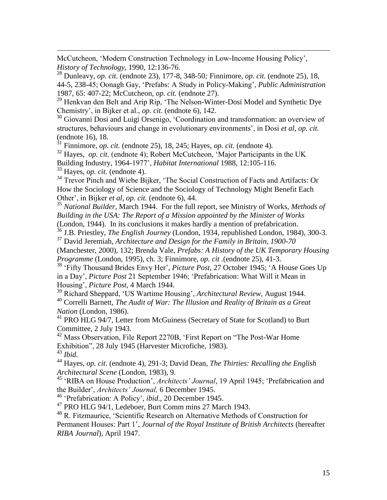McCutcheon, 'Modern Construction Technology in Low-Income Housing Policy', *History of Technology*, 1990, 12:136-76.

<sup>28</sup> Dunleavy, *op. cit.* (endnote 23)*,* 177-8, 348-50*;* Finnimore, *op. cit.* (endnote 25), 18, 44-5, 238-45; Oonagh Gay, ‗Prefabs: A Study in Policy-Making', *Public Administration* 1987, 65: 407-22; McCutcheon, *op. cit.* (endnote 27).

<sup>29</sup> Henkvan den Belt and Arip Rip, 'The Nelson-Winter-Dosi Model and Synthetic Dye Chemistry', in Bijker et al., *op. cit.* (endnote 6)*,* 142.

<sup>30</sup> Giovanni Dosi and Luigi Orsenigo, 'Coordination and transformation: an overview of structures, behaviours and change in evolutionary environments', in Dosi *et al*, *op. cit.* (endnote 16)*,* 18*.*

 $31$  Finnimore, *op. cit.* (endnote 25), 18, 245; Hayes, *op. cit.* (endnote 4).

<sup>32</sup> Hayes, *op. cit.* (endnote 4); Robert McCutcheon, 'Major Participants in the UK

Building Industry, 1964-1977', *Habitat International* 1988, 12:105-116.

<sup>33</sup> Hayes, *op. cit.* (endnote 4).

 $\overline{a}$ 

<sup>34</sup> Trevor Pinch and Wiebe Bijker, 'The Social Construction of Facts and Artifacts: Or How the Sociology of Science and the Sociology of Technology Might Benefit Each Other', in Bijker *et al*, *op. cit.* (endnote 6), 44.

<sup>35</sup> *National Builder*, March 1944. For the full report, see Ministry of Works, *Methods of Building in the USA: The Report of a Mission appointed by the Minister of Works* (London, 1944). In its conclusions it makes hardly a mention of prefabrication.

<sup>36</sup> J.B. Priestley, *The English Journey* (London, 1934, republished London, 1984), 300-3. <sup>37</sup> David Jeremiah, *Architecture and Design for the Family in Britain, 1900-70*

(Manchester, 2000), 132; Brenda Vale, *Prefabs: A History of the UK Temporary Housing Programme* (London, 1995), ch. 3; Finnimore, *op. cit .*(endnote 25), 41-3.

<sup>38</sup> 'Fifty Thousand Brides Envy Her', *Picture Post*, 27 October 1945; 'A House Goes Up in a Day', *Picture Post* 21 September 1946; ‗Prefabrication: What Will it Mean in Housing', *Picture Post*, 4 March 1944.

<sup>39</sup> Richard Sheppard, ‗US Wartime Housing', *Architectural Review*, August 1944. <sup>40</sup> Correlli Barnett, *The Audit of War: The Illusion and Reality of Britain as a Great Nation* (London, 1986).

<sup>41</sup> PRO HLG 94/7, Letter from McGuiness (Secretary of State for Scotland) to Burt Committee, 2 July 1943.

 $42$  Mass Observation, File Report 2270B, 'First Report on "The Post-War Home" Exhibition", 28 July 1945 (Harvester Microfiche, 1983).

<sup>43</sup> *Ibid*.

<sup>44</sup> Hayes, *op. cit*. (endnote 4), 291-3; David Dean, *The Thirties: Recalling the English Architectural Scene* (London, 1983), 9.

<sup>45</sup> 'RIBA on House Production', *Architects' Journal*, 19 April 1945; 'Prefabrication and the Builder', *Architects' Journal,* 6 December 1945.

<sup>46</sup> ‗Prefabrication: A Policy', *ibid*., 20 December 1945.

<sup>47</sup> PRO HLG 94/1, Ledeboer, Burt Comm mins 27 March 1943.

<sup>48</sup> R. Fitzmaurice, 'Scientific Research on Alternative Methods of Construction for Permanent Houses: Part 1', *Journal of the Royal Institute of British Architects* (hereafter *RIBA Journal*), April 1947.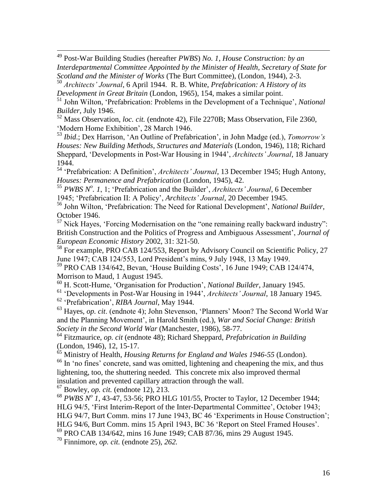<sup>49</sup> Post-War Building Studies (hereafter *PWBS*) *No. 1*, *House Construction: by an Interdepartmental Committee Appointed by the Minister of Health, Secretary of State for Scotland and the Minister of Works* (The Burt Committee), (London, 1944), 2-3.

<sup>50</sup> *Architects' Journal*, 6 April 1944. R. B. White, *Prefabrication: A History of its Development in Great Britain* (London, 1965), 154, makes a similar point.

<sup>51</sup> John Wilton, 'Prefabrication: Problems in the Development of a Technique', *National Builder*, July 1946.

<sup>52</sup> Mass Observation, *loc. cit.* (endnote 42), File 2270B; Mass Observation, File 2360, ‗Modern Home Exhibition', 28 March 1946.

<sup>53</sup> *Ibid*.; Dex Harrison, ‗An Outline of Prefabrication', in John Madge (ed.), *Tomorrow's Houses: New Building Methods, Structures and Materials* (London, 1946), 118; Richard Sheppard, ‗Developments in Post-War Housing in 1944', *Architects' Journal*, 18 January 1944.

<sup>54</sup> 'Prefabrication: A Definition', *Architects' Journal*, 13 December 1945; Hugh Antony, *Houses: Permanence and Prefabrication* (London, 1945), 42.

<sup>55</sup> *PWBS N o . 1*, 1; ‗Prefabrication and the Builder', *Architects' Journal*, 6 December 1945; ‗Prefabrication II: A Policy', *Architects' Journal*, 20 December 1945.

<sup>56</sup> John Wilton, ‗Prefabrication: The Need for Rational Development', *National Builder*, October 1946.

 $57$  Nick Hayes, 'Forcing Modernisation on the "one remaining really backward industry": British Construction and the Politics of Progress and Ambiguous Assessment', *Journal of European Economic History* 2002, 31: 321-50.

<sup>58</sup> For example, PRO CAB 124/553, Report by Advisory Council on Scientific Policy, 27 June 1947; CAB 124/553, Lord President's mins, 9 July 1948, 13 May 1949.

<sup>59</sup> PRO CAB 134/642, Bevan, 'House Building Costs', 16 June 1949; CAB 124/474, Morrison to Maud, 1 August 1945.

<sup>60</sup> H. Scott-Hume, ‗Organisation for Production', *National Builder*, January 1945.

<sup>61</sup> ‗Developments in Post-War Housing in 1944', *Architects' Journal*, 18 January 1945.

<sup>62</sup> ‗Prefabrication', *RIBA Journal*, May 1944.

 $\overline{a}$ 

<sup>63</sup> Hayes, *op. cit.* (endnote 4); John Stevenson, 'Planners' Moon? The Second World War and the Planning Movement', in Harold Smith (ed.), *War and Social Change: British Society in the Second World War* (Manchester, 1986), 58-77.

<sup>64</sup> Fitzmaurice, *op. cit* (endnote 48); Richard Sheppard, *Prefabrication in Building* (London, 1946), 12, 15-17.

<sup>65</sup> Ministry of Health, *Housing Returns for England and Wales 1946-55* (London). <sup>66</sup> In 'no fines' concrete, sand was omitted, lightening and cheapening the mix, and thus lightening, too, the shuttering needed. This concrete mix also improved thermal insulation and prevented capillary attraction through the wall.

<sup>67</sup> Bowley, *op. cit.* (endnote 12), 213.

<sup>68</sup> *PWBS N<sup>o</sup> 1*, 43-47, 53-56; PRO HLG 101/55, Procter to Taylor, 12 December 1944; HLG 94/5, ‗First Interim-Report of the Inter-Departmental Committee', October 1943; HLG 94/7, Burt Comm. mins 17 June 1943, BC 46 'Experiments in House Construction'; HLG 94/6, Burt Comm. mins 15 April 1943, BC 36 ‗Report on Steel Framed Houses'. <sup>69</sup> PRO CAB 134/642, mins 16 June 1949; CAB 87/36, mins 29 August 1945.

<sup>70</sup> Finnimore, *op. cit.* (endnote 25)*, 262.*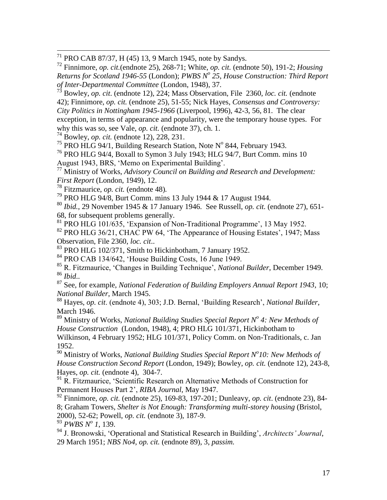<sup>71</sup> PRO CAB 87/37, H (45) 13, 9 March 1945, note by Sandys.

<sup>72</sup> Finnimore, *op. cit.*(endnote 25), 268-71; White, *op. cit.* (endnote 50), 191-2; *Housing Returns for Scotland 1946-55* (London); *PWBS N<sup>o</sup> 25*, *House Construction: Third Report of Inter-Departmental Committee* (London, 1948), 37.

<sup>73</sup> Bowley, *op. cit*. (endnote 12), 224; Mass Observation, File 2360, *loc. cit.* (endnote 42); Finnimore, *op. cit.* (endnote 25)*,* 51-55; Nick Hayes, *Consensus and Controversy: City Politics in Nottingham 1945-1966* (Liverpool, 1996), 42-3, 56, 81. The clear exception, in terms of appearance and popularity, were the temporary house types. For

why this was so, see Vale, *op. cit.* (endnote 37), ch. 1.

<sup>74</sup> Bowley, *op. cit.* (endnote 12)*,* 228, 231.

 $\overline{a}$ 

<sup>75</sup> PRO HLG 94/1, Building Research Station, Note N° 844, February 1943.

<sup>76</sup> PRO HLG 94/4, Boxall to Symon 3 July 1943; HLG 94/7, Burt Comm. mins 10

August 1943, BRS, 'Memo on Experimental Building'.

<sup>77</sup> Ministry of Works, *Advisory Council on Building and Research and Development: First Report* (London, 1949), 12.

<sup>78</sup> Fitzmaurice, *op. cit.* (endnote 48)*.*

<sup>79</sup> PRO HLG 94/8, Burt Comm. mins 13 July 1944 & 17 August 1944.

<sup>80</sup> *Ibid.*, 29 November 1945 & 17 January 1946. See Russell, *op. cit.* (endnote 27), 651- 68, for subsequent problems generally.

 $^{81}$  PRO HLG 101/635, 'Expansion of Non-Traditional Programme', 13 May 1952.

 $82$  PRO HLG 36/21, CHAC PW 64, 'The Appearance of Housing Estates', 1947; Mass Observation, File 2360, *loc. cit*..

<sup>83</sup> PRO HLG 102/371, Smith to Hickinbotham, 7 January 1952.

<sup>84</sup> PRO CAB 134/642, 'House Building Costs, 16 June 1949.

<sup>85</sup> R. Fitzmaurice, ‗Changes in Building Technique', *National Builder*, December 1949. <sup>86</sup> *Ibid*..

<sup>87</sup> See, for example, *National Federation of Building Employers Annual Report 1943*, 10; *National Builder*, March 1945.

<sup>88</sup> Hayes, *op. cit*. (endnote 4), 303; J.D. Bernal, ‗Building Research', *National Builder*, March 1946.

<sup>89</sup> Ministry of Works, *National Building Studies Special Report N<sup>o</sup> 4: New Methods of House Construction* (London, 1948), 4; PRO HLG 101/371, Hickinbotham to Wilkinson, 4 February 1952; HLG 101/371, Policy Comm. on Non-Traditionals, c. Jan 1952.

<sup>90</sup> Ministry of Works, *National Building Studies Special Report N<sup>o</sup>10: New Methods of House Construction Second Report* (London, 1949); Bowley, *op. cit.* (endnote 12), 243-8, Hayes, *op. cit.* (endnote 4), 304-7.

<sup>91</sup> R. Fitzmaurice, 'Scientific Research on Alternative Methods of Construction for Permanent Houses Part 2', *RIBA Journal*, May 1947.

<sup>92</sup> Finnimore, *op. cit.* (endnote 25)*,* 169-83, 197-201; Dunleavy, *op. cit*. (endnote 23), 84- 8; Graham Towers, *Shelter is Not Enough: Transforming multi-storey housing* (Bristol, 2000), 52-62; Powell, *op. cit.* (endnote 3), 187-9.

<sup>93</sup> *PWBS N<sup>o</sup> 1*, 139.

<sup>94</sup> J. Bronowski, ‗Operational and Statistical Research in Building', *Architects' Journal*, 29 March 1951; *NBS No4, op. cit.* (endnote 89)*,* 3, *passim.*